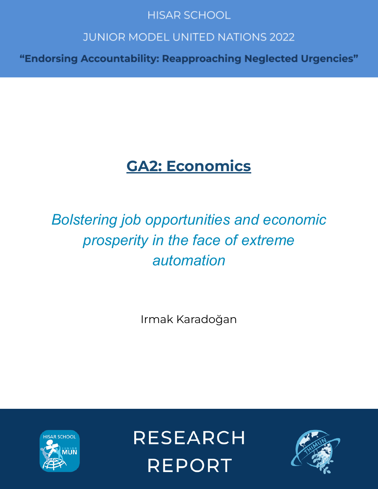# **HISAR SCHOOL**

# **JUNIOR MODEL UNITED NATIONS 2022**

"Endorsing Accountability: Reapproaching Neglected Urgencies"

# **GA2: Economics**

# *Bolstering job opportunities and economic prosperity in the face of extreme automation*

Irmak Karadoğan



**RESEARCH REPORT** 

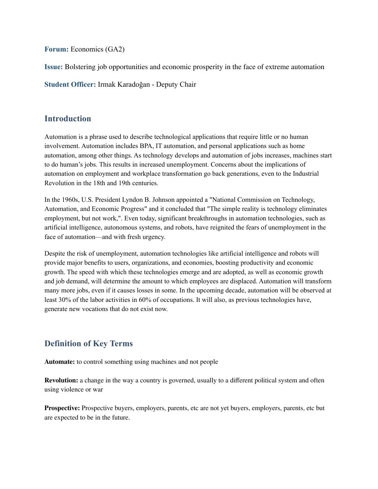**Forum:** Economics (GA2)

**Issue:** Bolstering job opportunities and economic prosperity in the face of extreme automation

**Student Officer:** Irmak Karadoğan - Deputy Chair

#### **Introduction**

Automation is a phrase used to describe technological applications that require little or no human involvement. Automation includes BPA, IT automation, and personal applications such as home automation, among other things. As technology develops and automation of jobs increases, machines start to do human's jobs. This results in increased unemployment. Concerns about the implications of automation on employment and workplace transformation go back generations, even to the Industrial Revolution in the 18th and 19th centuries.

In the 1960s, U.S. President Lyndon B. Johnson appointed a "National Commission on Technology, Automation, and Economic Progress" and it concluded that "The simple reality is technology eliminates employment, but not work,". Even today, significant breakthroughs in automation technologies, such as artificial intelligence, autonomous systems, and robots, have reignited the fears of unemployment in the face of automation—and with fresh urgency.

Despite the risk of unemployment, automation technologies like artificial intelligence and robots will provide major benefits to users, organizations, and economies, boosting productivity and economic growth. The speed with which these technologies emerge and are adopted, as well as economic growth and job demand, will determine the amount to which employees are displaced. Automation will transform many more jobs, even if it causes losses in some. In the upcoming decade, automation will be observed at least 30% of the labor activities in 60% of occupations. It will also, as previous technologies have, generate new vocations that do not exist now.

# **Definition of Key Terms**

**Automate:** to [control](https://dictionary.cambridge.org/dictionary/learner-english/control) something using [machines](https://dictionary.cambridge.org/dictionary/learner-english/machine) and not [people](https://dictionary.cambridge.org/dictionary/learner-english/people)

**Revolution:** a [change](https://dictionary.cambridge.org/dictionary/learner-english/change) in the way a [country](https://dictionary.cambridge.org/dictionary/learner-english/country) is [governed,](https://dictionary.cambridge.org/dictionary/learner-english/govern) usually to a different [political](https://dictionary.cambridge.org/dictionary/learner-english/political) [system](https://dictionary.cambridge.org/dictionary/learner-english/system) and often using [violence](https://dictionary.cambridge.org/dictionary/learner-english/violence) or [war](https://dictionary.cambridge.org/dictionary/learner-english/war)

**Prospective:** Prospective [buyers](https://dictionary.cambridge.org/dictionary/learner-english/buyer), [employers](https://dictionary.cambridge.org/dictionary/learner-english/employer), [parents](https://dictionary.cambridge.org/dictionary/learner-english/parent), etc are not [yet](https://dictionary.cambridge.org/dictionary/learner-english/yet) [buyers,](https://dictionary.cambridge.org/dictionary/learner-english/buyer) [employers,](https://dictionary.cambridge.org/dictionary/learner-english/employer) [parents](https://dictionary.cambridge.org/dictionary/learner-english/parent), etc but are [expected](https://dictionary.cambridge.org/dictionary/learner-english/expect) to be in the [future.](https://dictionary.cambridge.org/dictionary/learner-english/future)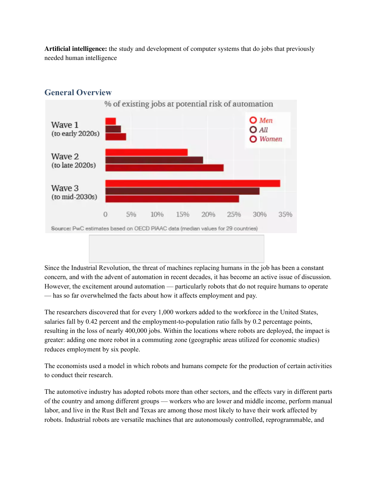**Artificial intelligence:** the [study](https://dictionary.cambridge.org/dictionary/learner-english/study) and [development](https://dictionary.cambridge.org/dictionary/learner-english/development) of [computer](https://dictionary.cambridge.org/dictionary/learner-english/computer) [systems](https://dictionary.cambridge.org/dictionary/learner-english/system) that do [jobs](https://dictionary.cambridge.org/dictionary/learner-english/job) that [previously](https://dictionary.cambridge.org/dictionary/learner-english/previous) [needed](https://dictionary.cambridge.org/dictionary/learner-english/need) [human](https://dictionary.cambridge.org/dictionary/learner-english/human) [intelligence](https://dictionary.cambridge.org/dictionary/learner-english/intelligence)



### **General Overview**

Since the Industrial Revolution, the threat of machines replacing humans in the job has been a constant concern, and with the advent of automation in recent decades, it has become an active issue of discussion. However, the excitement around automation — particularly robots that do not require humans to operate — has so far overwhelmed the facts about how it affects employment and pay.

The researchers discovered that for every 1,000 workers added to the workforce in the United States, salaries fall by 0.42 percent and the employment-to-population ratio falls by 0.2 percentage points, resulting in the loss of nearly 400,000 jobs. Within the locations where robots are deployed, the impact is greater: adding one more robot in a commuting zone (geographic areas utilized for economic studies) reduces employment by six people.

The economists used a model in which robots and humans compete for the production of certain activities to conduct their research.

The automotive industry has adopted robots more than other sectors, and the effects vary in different parts of the country and among different groups — workers who are lower and middle income, perform manual labor, and live in the Rust Belt and Texas are among those most likely to have their work affected by robots. Industrial robots are versatile machines that are autonomously controlled, reprogrammable, and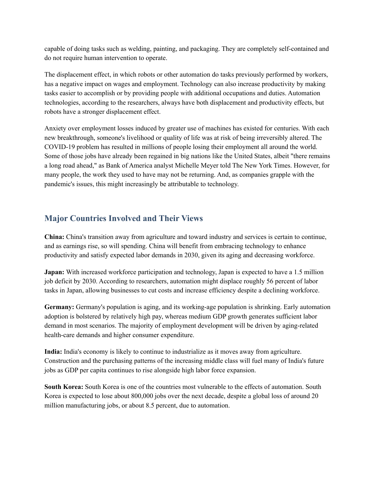capable of doing tasks such as welding, painting, and packaging. They are completely self-contained and do not require human intervention to operate.

The displacement effect, in which robots or other automation do tasks previously performed by workers, has a negative impact on wages and employment. Technology can also increase productivity by making tasks easier to accomplish or by providing people with additional occupations and duties. Automation technologies, according to the researchers, always have both displacement and productivity effects, but robots have a stronger displacement effect.

Anxiety over employment losses induced by greater use of machines has existed for centuries. With each new breakthrough, someone's livelihood or quality of life was at risk of being irreversibly altered. The COVID-19 problem has resulted in millions of people losing their employment all around the world. Some of those jobs have already been regained in big nations like the United States, albeit "there remains a long road ahead," as Bank of America analyst Michelle Meyer told The New York Times. However, for many people, the work they used to have may not be returning. And, as companies grapple with the pandemic's issues, this might increasingly be attributable to technology.

# **Major Countries Involved and Their Views**

**China:** China's transition away from agriculture and toward industry and services is certain to continue, and as earnings rise, so will spending. China will benefit from embracing technology to enhance productivity and satisfy expected labor demands in 2030, given its aging and decreasing workforce.

**Japan:** With increased workforce participation and technology, Japan is expected to have a 1.5 million job deficit by 2030. According to researchers, automation might displace roughly 56 percent of labor tasks in Japan, allowing businesses to cut costs and increase efficiency despite a declining workforce.

**Germany:** Germany's population is aging, and its working-age population is shrinking. Early automation adoption is bolstered by relatively high pay, whereas medium GDP growth generates sufficient labor demand in most scenarios. The majority of employment development will be driven by aging-related health-care demands and higher consumer expenditure.

**India:** India's economy is likely to continue to industrialize as it moves away from agriculture. Construction and the purchasing patterns of the increasing middle class will fuel many of India's future jobs as GDP per capita continues to rise alongside high labor force expansion.

**South Korea:** South Korea is one of the countries most vulnerable to the effects of automation. South Korea is expected to lose about 800,000 jobs over the next decade, despite a global loss of around 20 million manufacturing jobs, or about 8.5 percent, due to automation.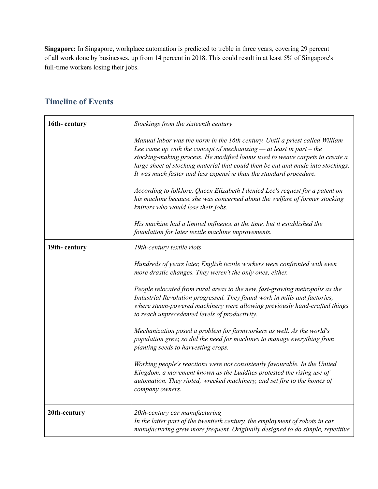**Singapore:** In Singapore, workplace automation is predicted to treble in three years, covering 29 percent of all work done by businesses, up from 14 percent in 2018. This could result in at least 5% of Singapore's full-time workers losing their jobs.

# **16th- century** *Stockings from the sixteenth century Manual labor was the norm in the 16th century. Until a priest called William Lee came up with the concept of mechanizing — at least in part – the stocking-making process. He modified looms used to weave carpets to create a large sheet of stocking material that could then be cut and made into stockings. It was much faster and less expensive than the standard procedure. According to folklore, Queen Elizabeth I denied Lee's request for a patent on his machine because she was concerned about the welfare of former stocking knitters who would lose their jobs. His machine had a limited influence at the time, but it established the foundation for later textile machine improvements.* **19th- century** *19th-century textile riots Hundreds of years later, English textile workers were confronted with even more drastic changes. They weren't the only ones, either. People relocated from rural areas to the new, fast-growing metropolis as the Industrial Revolution progressed. They found work in mills and factories, where steam-powered machinery were allowing previously hand-crafted things to reach unprecedented levels of productivity. Mechanization posed a problem for farmworkers as well. As the world's population grew, so did the need for machines to manage everything from planting seeds to harvesting crops. Working people's reactions were not consistently favourable. In the United Kingdom, a movement known as the Luddites protested the rising use of automation. They rioted, wrecked machinery, and set fire to the homes of company owners.* **20th-century** *20th-century car manufacturing In the latter part of the twentieth century, the employment of robots in car manufacturing grew more frequent. Originally designed to do simple, repetitive*

### **Timeline of Events**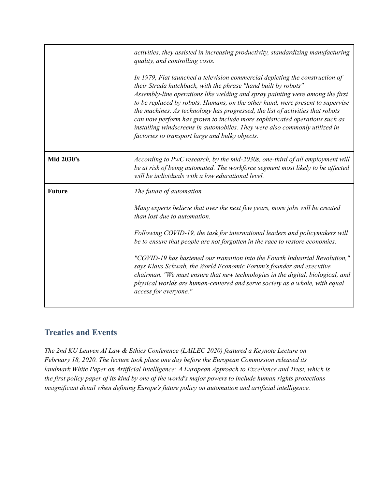|               | activities, they assisted in increasing productivity, standardizing manufacturing<br>quality, and controlling costs.<br>In 1979, Fiat launched a television commercial depicting the construction of<br>their Strada hatchback, with the phrase "hand built by robots"<br>Assembly-line operations like welding and spray painting were among the first<br>to be replaced by robots. Humans, on the other hand, were present to supervise<br>the machines. As technology has progressed, the list of activities that robots<br>can now perform has grown to include more sophisticated operations such as<br>installing windscreens in automobiles. They were also commonly utilized in<br>factories to transport large and bulky objects. |
|---------------|--------------------------------------------------------------------------------------------------------------------------------------------------------------------------------------------------------------------------------------------------------------------------------------------------------------------------------------------------------------------------------------------------------------------------------------------------------------------------------------------------------------------------------------------------------------------------------------------------------------------------------------------------------------------------------------------------------------------------------------------|
| Mid 2030's    | According to PwC research, by the mid-2030s, one-third of all employment will<br>be at risk of being automated. The workforce segment most likely to be affected<br>will be individuals with a low educational level.                                                                                                                                                                                                                                                                                                                                                                                                                                                                                                                      |
| <b>Future</b> | The future of automation<br>Many experts believe that over the next few years, more jobs will be created<br>than lost due to automation.<br>Following COVID-19, the task for international leaders and policymakers will<br>be to ensure that people are not forgotten in the race to restore economies.<br>"COVID-19 has hastened our transition into the Fourth Industrial Revolution,"<br>says Klaus Schwab, the World Economic Forum's founder and executive<br>chairman. "We must ensure that new technologies in the digital, biological, and<br>physical worlds are human-centered and serve society as a whole, with equal<br>access for everyone."                                                                                |

# **Treaties and Events**

*The 2nd KU Leuven AI Law & Ethics Conference (LAILEC 2020) featured a Keynote Lecture on February 18, 2020. The lecture took place one day before the European Commission released its landmark White Paper on Artificial Intelligence: A European Approach to Excellence and Trust, which is* the first policy paper of its kind by one of the world's major powers to include human rights protections *insignificant detail when defining Europe's future policy on automation and artificial intelligence.*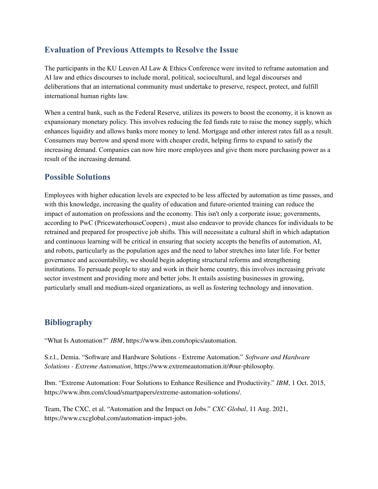### **Evaluation of Previous Attempts to Resolve the Issue**

The participants in the KU Leuven AI Law & Ethics Conference were invited to reframe automation and AI law and ethics discourses to include moral, political, sociocultural, and legal discourses and deliberations that an international community must undertake to preserve, respect, protect, and fulfill international human rights law.

When a central bank, such as the Federal Reserve, utilizes its powers to boost the economy, it is known as expansionary monetary policy. This involves reducing the fed funds rate to raise the money supply, which enhances liquidity and allows banks more money to lend. Mortgage and other interest rates fall as a result. Consumers may borrow and spend more with cheaper credit, helping firms to expand to satisfy the increasing demand. Companies can now hire more employees and give them more purchasing power as a result of the increasing demand.

#### **Possible Solutions**

Employees with higher education levels are expected to be less affected by automation as time passes, and with this knowledge, increasing the quality of education and future-oriented training can reduce the impact of automation on professions and the economy. This isn't only a corporate issue; governments, according to PwC (PricewaterhouseCoopers) , must also endeavor to provide chances for individuals to be retrained and prepared for prospective job shifts. This will necessitate a cultural shift in which adaptation and continuous learning will be critical in ensuring that society accepts the benefits of automation, AI, and robots, particularly as the population ages and the need to labor stretches into later life. For better governance and accountability, we should begin adopting structural reforms and strengthening institutions. To persuade people to stay and work in their home country, this involves increasing private sector investment and providing more and better jobs. It entails assisting businesses in growing, particularly small and medium-sized organizations, as well as fostering technology and innovation.

#### **Bibliography**

"What Is Automation?" *IBM*, https://www.ibm.com/topics/automation.

S.r.l., Demia. "Software and Hardware Solutions - Extreme Automation." *Software and Hardware Solutions - Extreme Automation*, https://www.extremeautomation.it/#our-philosophy.

Ibm. "Extreme Automation: Four Solutions to Enhance Resilience and Productivity." *IBM*, 1 Oct. 2015, https://www.ibm.com/cloud/smartpapers/extreme-automation-solutions/.

Team, The CXC, et al. "Automation and the Impact on Jobs." *CXC Global*, 11 Aug. 2021, https://www.cxcglobal.com/automation-impact-jobs.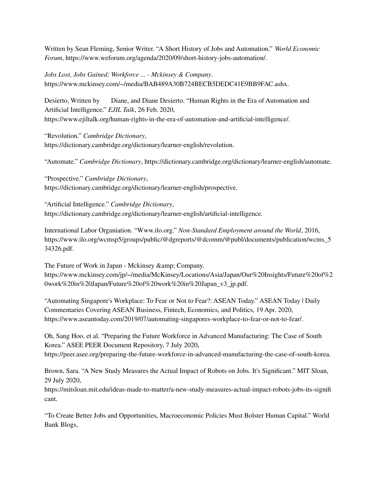Written by Sean Fleming, Senior Writer. "A Short History of Jobs and Automation." *World Economic Forum*, https://www.weforum.org/agenda/2020/09/short-history-jobs-automation/.

*Jobs Lost, Jobs Gained: Workforce ... - Mckinsey & Company*. https://www.mckinsey.com/~/media/BAB489A30B724BECB5DEDC41E9BB9FAC.ashx.

Desierto, Written by Diane, and Diane Desierto. "Human Rights in the Era of Automation and Artificial Intelligence." *EJIL Talk*, 26 Feb. 2020, https://www.ejiltalk.org/human-rights-in-the-era-of-automation-and-artificial-intelligence/.

"Revolution." *Cambridge Dictionary*, https://dictionary.cambridge.org/dictionary/learner-english/revolution.

"Automate." *Cambridge Dictionary*, https://dictionary.cambridge.org/dictionary/learner-english/automate.

"Prospective." *Cambridge Dictionary*, https://dictionary.cambridge.org/dictionary/learner-english/prospective.

"Artificial Intelligence." *Cambridge Dictionary*, https://dictionary.cambridge.org/dictionary/learner-english/artificial-intelligence.

International Labor Organiation. "Www.ilo.org." *Non-Standard Employment around the World*, 2016, https://www.ilo.org/wcmsp5/groups/public/@dgreports/@dcomm/@publ/documents/publication/wcms\_5 34326.pdf.

The Future of Work in Japan - Mckinsey & amp; Company. https://www.mckinsey.com/jp/~/media/McKinsey/Locations/Asia/Japan/Our%20Insights/Future%20of%2 0work%20in%20Japan/Future%20of%20work%20in%20Japan\_v3\_jp.pdf.

"Automating Singapore's Workplace: To Fear or Not to Fear?: ASEAN Today." ASEAN Today | Daily Commentaries Covering ASEAN Business, Fintech, Economics, and Politics, 19 Apr. 2020, https://www.aseantoday.com/2019/07/automating-singapores-workplace-to-fear-or-not-to-fear/.

Oh, Sang Hoo, et al. "Preparing the Future Workforce in Advanced Manufacturing: The Case of South Korea." ASEE PEER Document Repository, 7 July 2020, https://peer.asee.org/preparing-the-future-workforce-in-advanced-manufacturing-the-case-of-south-korea.

Brown, Sara. "A New Study Measures the Actual Impact of Robots on Jobs. It's Significant." MIT Sloan, 29 July 2020,

https://mitsloan.mit.edu/ideas-made-to-matter/a-new-study-measures-actual-impact-robots-jobs-its-signifi cant.

"To Create Better Jobs and Opportunities, Macroeconomic Policies Must Bolster Human Capital." World Bank Blogs,